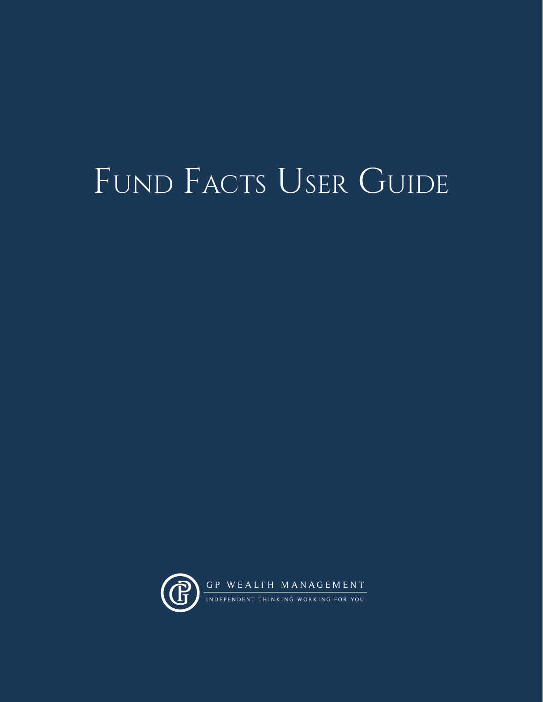# FUND FACTS USER GUIDE

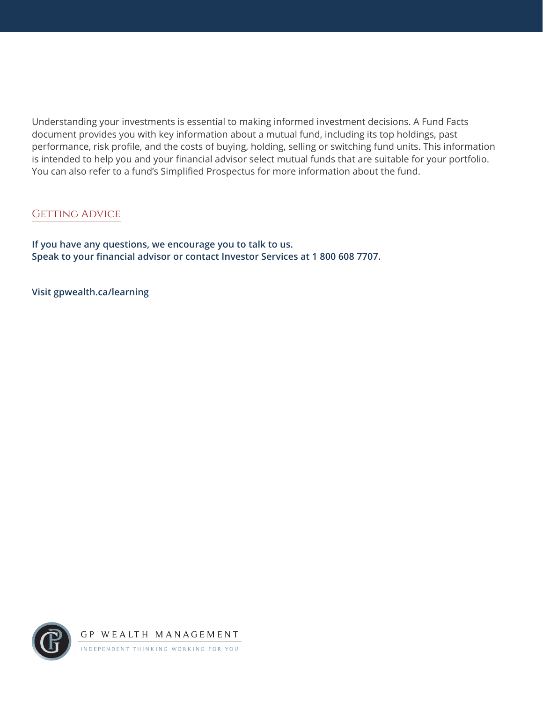Understanding your investments is essential to making informed investment decisions. A Fund Facts document provides you with key information about a mutual fund, including its top holdings, past performance, risk profile, and the costs of buying, holding, selling or switching fund units. This information is intended to help you and your financial advisor select mutual funds that are suitable for your portfolio. You can also refer to a fund's Simplified Prospectus for more information about the fund.

# GETTING ADVICE

**If you have any questions, we encourage you to talk to us. Speak to your financial advisor or contact Investor Services at 1 800 608 7707.**

**Visit [gpwealth.ca/learning](http://gpwealth.ca/learning)**

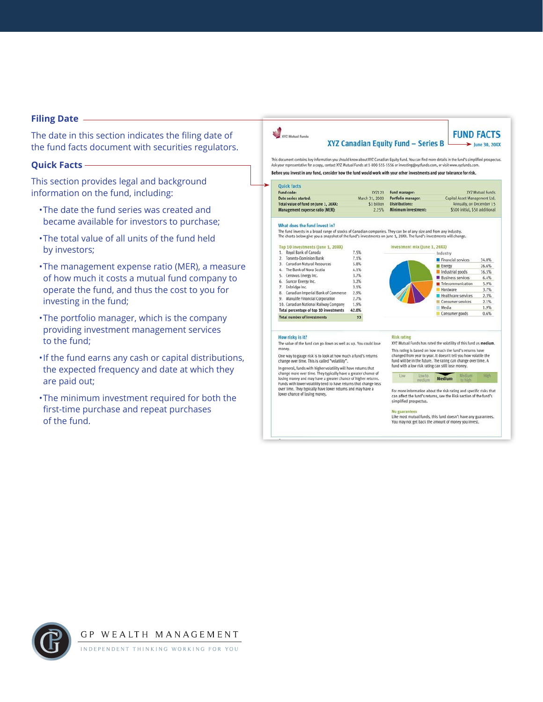## **Filing Date**

The date in this section indicates the filing date of the fund facts document with securities regulators.

# **Quick Facts**

This section provides legal and background information on the fund, including:

- •The date the fund series was created and became available for investors to purchase;
- •The total value of all units of the fund held by investors;
- •The management expense ratio (MER), a measur of how much it costs a mutual fund company to operate the fund, and thus the cost to you for investing in the fund;
- •The portfolio manager, which is the company providing investment management services to the fund;
- •If the fund earns any cash or capital distribution the expected frequency and date at which they are paid out;
- •The minimum investment required for both the first-time purchase and repeat purchases of the fund.

|   | Before you invest in any fund, consider how the fund would work with your other investments and your tolerance for risk.                                                                                                                 |                                                                                                                                         |                                                                   |                                                           |       |  |  |  |
|---|------------------------------------------------------------------------------------------------------------------------------------------------------------------------------------------------------------------------------------------|-----------------------------------------------------------------------------------------------------------------------------------------|-------------------------------------------------------------------|-----------------------------------------------------------|-------|--|--|--|
| ⋗ | <b>Quick facts</b>                                                                                                                                                                                                                       | XYZ123                                                                                                                                  |                                                                   |                                                           |       |  |  |  |
|   | Fund code:                                                                                                                                                                                                                               | Fund manager:                                                                                                                           | <b>XYZ Mutual Funds</b>                                           |                                                           |       |  |  |  |
|   | Date series started:                                                                                                                                                                                                                     | March 31, 2000                                                                                                                          | Portfolio manager:                                                | Capital Asset Management Ltd.<br>Annually, on December 15 |       |  |  |  |
|   | Total value of fund on June 1, 20XX:                                                                                                                                                                                                     | \$1 billion                                                                                                                             | <b>Distributions:</b>                                             |                                                           |       |  |  |  |
|   | Management expense ratio (MER):                                                                                                                                                                                                          | 2.25%                                                                                                                                   | Minimum investment:                                               | \$500 initial, \$50 additional                            |       |  |  |  |
|   | What does the fund invest in?                                                                                                                                                                                                            |                                                                                                                                         |                                                                   |                                                           |       |  |  |  |
|   | The fund invests in a broad range of stocks of Canadian companies. They can be of any size and from any industry.<br>The charts below give you a snapshot of the fund's investments on June 1, 20XX. The fund's investments will change. |                                                                                                                                         |                                                                   |                                                           |       |  |  |  |
|   | Top 10 investments (June 1, 20XX)                                                                                                                                                                                                        |                                                                                                                                         | Investment mix (June 1, 20XX)                                     |                                                           |       |  |  |  |
|   | 1. Royal Bank of Canada                                                                                                                                                                                                                  | 7.5%                                                                                                                                    |                                                                   | Industry                                                  |       |  |  |  |
|   | 2. Toronto-Dominion Bank                                                                                                                                                                                                                 | 7.1%                                                                                                                                    |                                                                   |                                                           |       |  |  |  |
|   | Canadian Natural Resources<br>3.                                                                                                                                                                                                         | 5.8%                                                                                                                                    |                                                                   | Financial services                                        | 34.0% |  |  |  |
|   | 4. The Bank of Nova Scotia                                                                                                                                                                                                               | 4.1%                                                                                                                                    |                                                                   | E Energy                                                  | 26.6% |  |  |  |
|   | Cenovus Energy Inc.<br>5.                                                                                                                                                                                                                | 3.7%                                                                                                                                    |                                                                   | Industrial goods                                          | 16.5% |  |  |  |
|   | 6. Suncor Energy Inc.                                                                                                                                                                                                                    | 3.2%                                                                                                                                    |                                                                   | <b>Business services</b>                                  | 6.4%  |  |  |  |
|   | 7. Enbridge Inc.                                                                                                                                                                                                                         | 3.1%                                                                                                                                    |                                                                   | Telecommunication                                         | 5.9%  |  |  |  |
|   | 8. Canadian Imperial Bank of Commerce                                                                                                                                                                                                    | 2.9%                                                                                                                                    |                                                                   | Hardware                                                  | 3.7%  |  |  |  |
|   | 9. Manulife Financial Corporation                                                                                                                                                                                                        | 2.7%                                                                                                                                    |                                                                   | Healthcare services                                       | 2.3%  |  |  |  |
|   | 10. Canadian National Railway Company                                                                                                                                                                                                    | 1.9%                                                                                                                                    |                                                                   | Consumer services                                         | 2.1%  |  |  |  |
|   | Total percentage of top 10 investments                                                                                                                                                                                                   | 42.0%                                                                                                                                   |                                                                   | Media                                                     | 1.9%  |  |  |  |
|   | <b>Total number of investments</b>                                                                                                                                                                                                       | 93                                                                                                                                      |                                                                   | Consumer goods                                            | 0.6%  |  |  |  |
|   |                                                                                                                                                                                                                                          |                                                                                                                                         |                                                                   |                                                           |       |  |  |  |
|   | How risky is it?                                                                                                                                                                                                                         | <b>Risk rating</b>                                                                                                                      |                                                                   |                                                           |       |  |  |  |
|   | The value of the fund can go down as well as up. You could lose                                                                                                                                                                          |                                                                                                                                         | XYZ Mutual Funds has rated the volatility of this fund as medium. |                                                           |       |  |  |  |
|   | money.                                                                                                                                                                                                                                   |                                                                                                                                         |                                                                   | This rating is based on how much the fund's returns have  |       |  |  |  |
|   | One way to gauge risk is to look at how much a fund's returns                                                                                                                                                                            |                                                                                                                                         | changed from year to year. It doesn't tell you how volatile the   |                                                           |       |  |  |  |
|   | change over time. This is called "volatility".                                                                                                                                                                                           | fund will be in the future. The rating can change over time. A<br>fund with a low risk rating can still lose money.                     |                                                                   |                                                           |       |  |  |  |
|   | In general, funds with higher volatility will have returns that<br>change more over time. They typically have a greater chance of                                                                                                        |                                                                                                                                         |                                                                   |                                                           |       |  |  |  |
|   | losing money and may have a greater chance of higher returns,                                                                                                                                                                            |                                                                                                                                         | Low<br>Low to:<br>medium                                          | Medium<br><b>Medium</b><br>to high                        | High  |  |  |  |
|   | Funds with lower volatility tend to have returns that change less                                                                                                                                                                        |                                                                                                                                         |                                                                   |                                                           |       |  |  |  |
|   | over time. They typically have lower returns and may have a                                                                                                                                                                              | For more information about the risk rating and specific risks that<br>can affect the fund's returns, see the Risk section of the fund's |                                                                   |                                                           |       |  |  |  |
|   | lower chance of losing money.                                                                                                                                                                                                            |                                                                                                                                         |                                                                   |                                                           |       |  |  |  |
|   |                                                                                                                                                                                                                                          |                                                                                                                                         | simplified prospectus.                                            |                                                           |       |  |  |  |

**FUND FACTS** 

*Charles Company* 

XYZ Mutual Funds

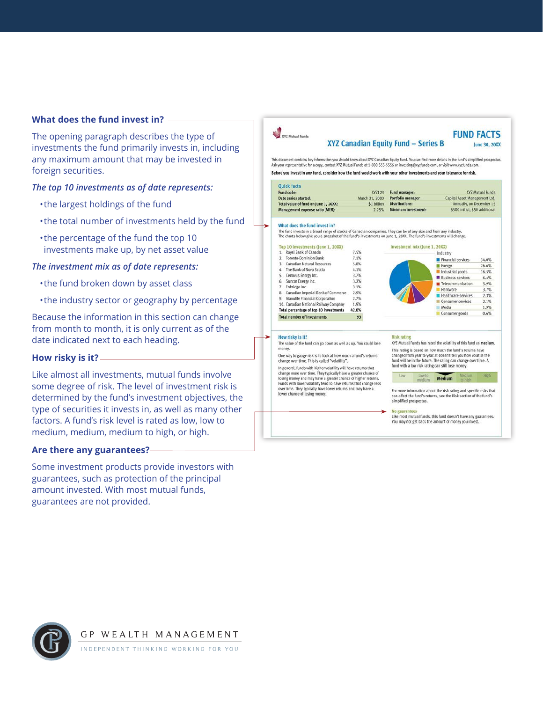# **What does the fund invest in?**

The opening paragraph describes the type of investments the fund primarily invests in, including any maximum amount that may be invested in foreign securities.

# *The top 10 investments as of date represents:*

- •the largest holdings of the fund
- •the total number of investments held by the fun
- •the percentage of the fund the top 10 investments make up, by net asset value

# *The investment mix as of date represents:*

- •the fund broken down by asset class
- •the industry sector or geography by percentage

Because the information in this section can change from month to month, it is only current as of the date indicated next to each heading.

# **How risky is it?**

Like almost all investments, mutual funds involve some degree of risk. The level of investment risk is determined by the fund's investment objectives, the type of securities it invests in, as well as many other factors. A fund's risk level is rated as low, low to medium, medium, medium to high, or high.

# **Are there any guarantees?**

Some investment products provide investors with guarantees, such as protection of the principal amount invested. With most mutual funds, guarantees are not provided.

| <b>Z Mutual Funds</b>                                                                                                                                                                                                                                                                                                                                                                                                     | XYZ Canadian Equity Fund - Series B                                                                                 |                                                                                             |        |                          |         | <b>FUND FACTS</b><br>June 30, 20XX |
|---------------------------------------------------------------------------------------------------------------------------------------------------------------------------------------------------------------------------------------------------------------------------------------------------------------------------------------------------------------------------------------------------------------------------|---------------------------------------------------------------------------------------------------------------------|---------------------------------------------------------------------------------------------|--------|--------------------------|---------|------------------------------------|
| This document contains key information you should know about XYZ Canadian Equity Fund. You can find more details in the fund's simplified prospectus.<br>Ask your representative for a copy, contact XYZ Mutual Funds at 1-800-555-5556 or investing@xyzfunds.com, or visit www.xyzfunds.com.<br>Before you invest in any fund, consider how the fund would work with your other investments and your tolerance for risk. |                                                                                                                     |                                                                                             |        |                          |         |                                    |
| <b>Ouick facts</b>                                                                                                                                                                                                                                                                                                                                                                                                        |                                                                                                                     |                                                                                             |        |                          |         |                                    |
| Fund code:                                                                                                                                                                                                                                                                                                                                                                                                                | XYZ123                                                                                                              | Fund manager:                                                                               |        |                          |         | <b>XYZ Mutual Funds</b>            |
| Date series started:                                                                                                                                                                                                                                                                                                                                                                                                      | March 31, 2000                                                                                                      | Portfolio manager:                                                                          |        |                          |         | Capital Asset Management Ltd.      |
| Total value of fund on June 1, 20XX:                                                                                                                                                                                                                                                                                                                                                                                      | \$1 billion                                                                                                         | <b>Distributions:</b>                                                                       |        |                          |         | Annually, on December 15           |
| Management expense ratio (MER):                                                                                                                                                                                                                                                                                                                                                                                           | 2.25%                                                                                                               | Minimum investment:                                                                         |        |                          |         | \$500 initial, \$50 additional     |
| What does the fund invest in?                                                                                                                                                                                                                                                                                                                                                                                             |                                                                                                                     |                                                                                             |        |                          |         |                                    |
| The fund invests in a broad range of stocks of Canadian companies. They can be of any size and from any industry.<br>The charts below give you a snapshot of the fund's investments on June 1, 20XX. The fund's investments will change.                                                                                                                                                                                  |                                                                                                                     |                                                                                             |        |                          |         |                                    |
| Top 10 investments (June 1, 20XX)                                                                                                                                                                                                                                                                                                                                                                                         |                                                                                                                     | Investment mix (June 1, 20XX)                                                               |        |                          |         |                                    |
| 1. Royal Bank of Canada                                                                                                                                                                                                                                                                                                                                                                                                   | 7.5%                                                                                                                |                                                                                             |        | Industry                 |         |                                    |
| 2. Toronto-Dominion Bank                                                                                                                                                                                                                                                                                                                                                                                                  | 7.1%                                                                                                                |                                                                                             |        | Financial services       |         | 34.0%                              |
| 3. Canadian Natural Resources                                                                                                                                                                                                                                                                                                                                                                                             | 5.8%                                                                                                                |                                                                                             |        | Energy                   |         | 26.6%                              |
| 4. The Bank of Nova Scotia                                                                                                                                                                                                                                                                                                                                                                                                | 4.1%                                                                                                                |                                                                                             |        | Industrial goods         |         | 16.5%                              |
| 5. Cenovus Energy Inc.                                                                                                                                                                                                                                                                                                                                                                                                    | 3.7%                                                                                                                |                                                                                             |        | <b>Business services</b> |         | 6.4%                               |
| 6. Suncor Energy Inc.                                                                                                                                                                                                                                                                                                                                                                                                     | 3.2%                                                                                                                |                                                                                             |        | Telecommunication        |         | 5.9%                               |
| 7. Enbridge Inc.                                                                                                                                                                                                                                                                                                                                                                                                          | 3.1%                                                                                                                |                                                                                             |        | Hardware                 |         | 3.7%                               |
| 8. Canadian Imperial Bank of Commerce                                                                                                                                                                                                                                                                                                                                                                                     | 2.9%                                                                                                                |                                                                                             |        | Healthcare services      |         | 2.3%                               |
| 9. Manulife Financial Corporation                                                                                                                                                                                                                                                                                                                                                                                         | 2.7%                                                                                                                |                                                                                             |        | Consumer services        |         | 2.1%                               |
| 10. Canadian National Railway Company                                                                                                                                                                                                                                                                                                                                                                                     | 1.9%                                                                                                                |                                                                                             |        | Media                    |         | 1.9%                               |
| Total percentage of top 10 investments                                                                                                                                                                                                                                                                                                                                                                                    | 42.0%                                                                                                               |                                                                                             |        | Consumer goods           |         | 0.6%                               |
| <b>Total number of investments</b>                                                                                                                                                                                                                                                                                                                                                                                        | 93                                                                                                                  |                                                                                             |        |                          |         |                                    |
| How risky is it?                                                                                                                                                                                                                                                                                                                                                                                                          |                                                                                                                     | <b>Risk rating</b>                                                                          |        |                          |         |                                    |
| The value of the fund can go down as well as up. You could lose                                                                                                                                                                                                                                                                                                                                                           | XYZ Mutual Funds has rated the volatility of this fund as medium.                                                   |                                                                                             |        |                          |         |                                    |
| money.                                                                                                                                                                                                                                                                                                                                                                                                                    | This rating is based on how much the fund's returns have                                                            |                                                                                             |        |                          |         |                                    |
| One way to gauge risk is to look at how much a fund's returns                                                                                                                                                                                                                                                                                                                                                             | changed from year to year. It doesn't tell you how volatile the                                                     |                                                                                             |        |                          |         |                                    |
| change over time. This is called "volatility".<br>In general, funds with higher volatility will have returns that                                                                                                                                                                                                                                                                                                         | fund will be in the future. The rating can change over time. A<br>fund with a low risk rating can still lose money. |                                                                                             |        |                          |         |                                    |
| change more over time. They typically have a greater chance of                                                                                                                                                                                                                                                                                                                                                            |                                                                                                                     | Low                                                                                         | Low to |                          | Medium  | High                               |
| losing money and may have a greater chance of higher returns.<br>Funds with lower volatility tend to have returns that change less                                                                                                                                                                                                                                                                                        |                                                                                                                     |                                                                                             | medium | <b>Medium</b>            | to high |                                    |
| over time. They typically have lower returns and may have a                                                                                                                                                                                                                                                                                                                                                               |                                                                                                                     |                                                                                             |        |                          |         |                                    |
| lower chance of losing money.                                                                                                                                                                                                                                                                                                                                                                                             | For more information about the risk rating and specific risks that                                                  |                                                                                             |        |                          |         |                                    |
|                                                                                                                                                                                                                                                                                                                                                                                                                           |                                                                                                                     | can affect the fund's returns, see the Risk section of the fund's<br>simplified prospectus. |        |                          |         |                                    |
|                                                                                                                                                                                                                                                                                                                                                                                                                           |                                                                                                                     |                                                                                             |        |                          |         |                                    |
|                                                                                                                                                                                                                                                                                                                                                                                                                           |                                                                                                                     | No guarantees                                                                               |        |                          |         |                                    |
|                                                                                                                                                                                                                                                                                                                                                                                                                           |                                                                                                                     | Like most mutual funds, this fund doesn't have any guarantees.                              |        |                          |         |                                    |



INDEPENDENT THINKING WORKING FOR YOU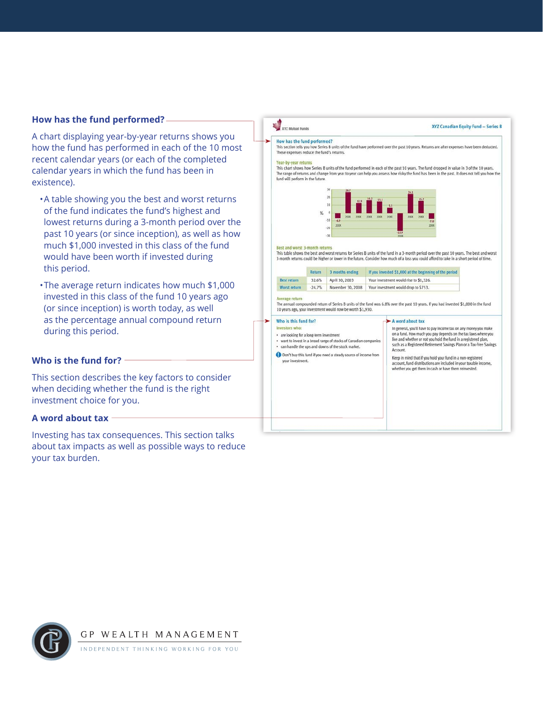# **How has the fund performed?**

A chart displaying year-by-year returns shows you how the fund has performed in each of the 10 most recent calendar years (or each of the completed calendar years in which the fund has been in existence).

- •A table showing you the best and worst returns of the fund indicates the fund's highest and lowest returns during a 3-month period over the past 10 years (or since inception), as well as how much \$1,000 invested in this class of the fund would have been worth if invested during this period.
- •The average return indicates how much \$1,000 invested in this class of the fund 10 years ago (or since inception) is worth today, as well as the percentage annual compound return during this period.

# **Who is the fund for?**

This section describes the key factors to consider when deciding whether the fund is the right investment choice for you.

# **A word about tax**

Investing has tax consequences. This section talks about tax impacts as well as possible ways to reduce your tax burden.

# XYZ Mutual Funds

#### XYZ Canadian Equity Fund - Series B

#### How has the fund performed?

This section tells you how Series B units of the fund have performed over the past 10 years. Returns are after expenses have been deducted. These expenses reduce the fund's returns.

#### Year-by-year returns

This chart shows how Series B units of the fund performed in each of the past 10 years. The fund dropped in value in 3 of the 10 years The range of returns and change from year to year can help you assess how risky the fund has been in the past. It does not tell you how the fund will perform in the future.



#### Best and worst 3-month return

This table shows the best and worst returns for Series B units of the fund in a 3-month period over the past 10 years. The best and worst 3-month returns could be higher or lower in the future. Consider how much of a loss you could afford to take in a short period of time

|                    | Return   | 3 months ending   | If you invested \$1,000 at the beginning of the period |
|--------------------|----------|-------------------|--------------------------------------------------------|
| <b>Best return</b> | 32.6%    | April 30, 2003    | Your investment would rise to \$1,326.                 |
| Worst return       | $-24.7%$ | November 30, 2008 | Your investment would drop to \$753.                   |

#### Average return

The annual compounded return of Series B units of the fund was 6.8% over the past 10 years. If you had invested \$1,000 in the fund 10 years ago, your investment would now be worth \$1,930.

## Who is this fund for?

- are looking for a long-term investment
- want to invest in a broad range of stocks of Canadian companies<br>• can handle the ups and downs of the stock market.
- 
- Don't buy this fund if you need a steady source of income from your investment.

# A word about tax

In general, you'll have to pay income tax on any money you make on a fund. How much you pay depends on the tax laws where you<br>live and whether or not you hold the fund in a registered plan,<br>such as a Registered Retirement Savings Plan or a Tax-Free Savings Account.

Keep in mind that if you hold your fund in a non-registered account, fund distributions are included in your taxable incom whether you get them in cash or have them reinvested.

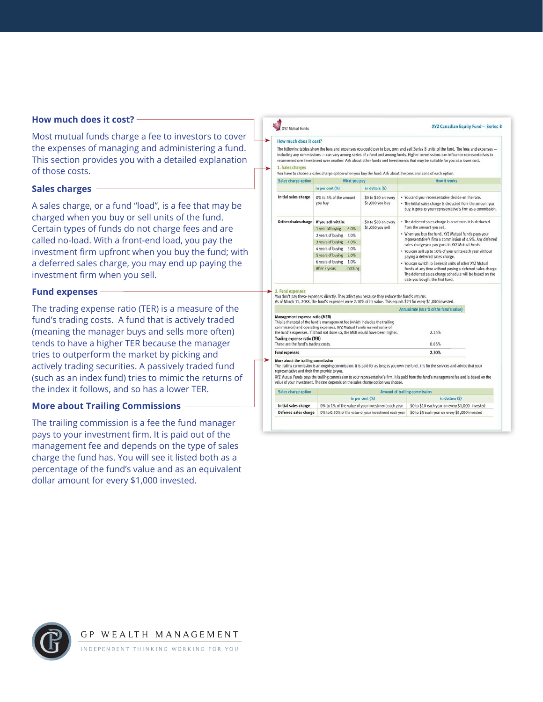# **How much does it cost?**

Most mutual funds charge a fee to investors to cover the expenses of managing and administering a fund. This section provides you with a detailed explanation of those costs.

# **Sales charges**

A sales charge, or a fund "load", is a fee that may be charged when you buy or sell units of the fund. Certain types of funds do not charge fees and are called no-load. With a front-end load, you pay the investment firm upfront when you buy the fund; with a deferred sales charge, you may end up paying the investment firm when you sell.

# **Fund expenses**

The trading expense ratio (TER) is a measure of the fund's trading costs. A fund that is actively traded (meaning the manager buys and sells more often) tends to have a higher TER because the manager tries to outperform the market by picking and actively trading securities. A passively traded fund (such as an index fund) tries to mimic the returns of the index it follows, and so has a lower TER.

# **More about Trailing Commissions**

The trailing commission is a fee the fund manager pays to your investment firm. It is paid out of the management fee and depends on the type of sales charge the fund has. You will see it listed both as a percentage of the fund's value and as an equivalent dollar amount for every \$1,000 invested.

**XYZ Mutual Funds** XYZ Canadian Equity Fund - Series B How much does it cost? The following tables show the fees and expenses you could pay to buy, own and sell Series B units of the fund. The fees and expenses including any commissions - can vary among series of a fund and among funds. Higher commissions can influence representatives to recommend one investment over another. Ask about other funds and investments that may be suitable for you at a lower cost. 1. Sales charges You have to choose a sales charge option when you buy the fund. Ask about the pros and cons of each option Sales charge option What you pay How it works in per cent (%) in dollars (\$) Initial sales charge 0% to 4% of the amount \$0 to \$40 on every • You and your representative decide on the rate.  $$1,000$  you buy - The initial sales charge is deducted from the amount you you buy buy. It goes to your representative's firm as a commission Deferred sales charge If you sell within: \$0 to \$60 on every . The deferred sales charge is a set rate. It is deducted 1 year of buying 6.0% \$1,000 you sell from the amount you sell. . When you buy the fund, XYZ Mutual Funds pays you 2 years of buying 5.0% representative's firm a commission of 4.9%. Any deferred 3 years of buying 4.0% sales charge you pay goes to XYZ Mutual Funds. 4 years of buying 3.0% . You can sell up to 10% of your units each year without 5 years of buying 2.0% paying a deferred sales charge. 6 years of buying 1.0% . You can switch to Series B units of other XYZ Mutual After 6 years nothing Funds at any time without paying a deferred sales charge.<br>The deferred sales charge schedule will be based on the date you bought the first fund. 2. Fund expenses You don't pay these expenses directly. They affect you because they reduce the fund's returns.<br>As of March 31, 200X, the fund's expenses were 2.30% of its value. This equals \$23 for every \$1,000 invested. Annual rate (as a % of the fund's value) Management expense ratio (MER) management experies rate (mail) and a This is the total of the Italian commission) and operating expenses. XYZ Mutual Fund's waived some of the fund's expenses. If it had not done so, the MER would have been higher. 2.25% Trading expense ratio (TER)<br>These are the fund's trading costs. 0.05% **Fund expenses** 2.30% More about the trailing commission The trailing commission is an ongoing commission. It is paid for as long as you own the fund. It is for the services and advice that your representative and their firm provide to you.<br>XYZ Mutual Funds pays the trailing commission to your representative's firm. It is paid from the fund's management fee and is based on the value of your investment. The rate depends on the sales charge option you choose Amount of trailing commission Sales charge option in per cent (%) in dollars (\$) Initial sales charge 0% to 1% of the value of your investment each year \$0 to \$10 each year on every \$1,000 invested Deferred sales charge 0% to 0.50% of the value of your investment each year \$0 to \$5 each year on every \$1,000 invested



NDEPENDENT THINKING WORKING FOR YOU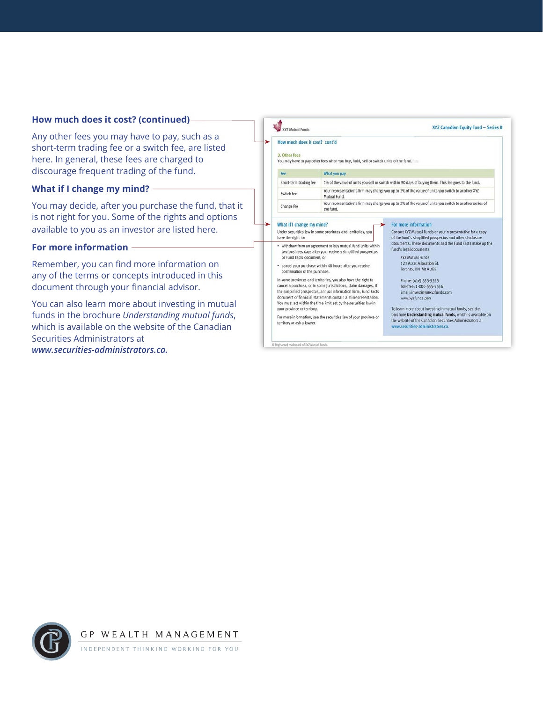#### **How much does it cost? (continued) XYZ Mutual Funds** XYZ Canadian Equity Fund - Series B Any other fees you may have to pay, such as a How much does it cost? cont'd short-term trading fee or a switch fee, are listed 3. Other fees here. In general, these fees are charged to You may have to pay other fees when you buy, hold, sell or switch units of the fund. discourage frequent trading of the fund. Fee What you pay Short-term trading fee 1% of the value of units you sell or switch within 90 days of buying them. This fee goes to the fund. **What if I change my mind?** Your representative's firm may charge you up to 2% of the value of units you switch to another XYZ Switch fee Mutual Fund. Your representative's firm may charge you up to 2% of the value of units you switch to another series of You may decide, after you purchase the fund, that it Change fee the fund. is not right for you. Some of the rights and options What if I change my mind? For more information available to you as an investor are listed here. Under securities law in some provinces and territories, you Contact XYZ Mutual Funds or your representative for a copy have the right to: of the fund's simplified prospectus and other disclosure<br>documents. These documents and the Fund Facts make up the • withdraw from an agreement to buy mutual fund units within **For more information** fund's legal documents. two business days after you receive a simplified prospectus XYZ Mutual Funds or Fund Facts document, or Remember, you can find more information on 123 Asset Allocation St. · cancel your purchase within 48 hours after you receive Toronto, ON M1A 2B3 confirmation of the purchase. any of the terms or concepts introduced in this In some provinces and territories, you also have the right to Phone: (416) 555-5555 document through your financial advisor. cancel a purchase, or in some jurisdictions, claim damages, if Toll-free: 1-800-555-5556 the simplified prospectus, annual information form, Fund Facts Email: investing@xyzfunds.com document or financial statements contain a misrepresentation. www.xyzfunds.com You can also learn more about investing in mutual You must act within the time limit set by the securities law in your province or territory. To learn more about investing in mutual funds, see the funds in the brochure *Understanding mutual funds*, brochure Understanding mutual funds, which is available on<br>the website of the Canadian Securities Administrators at For more information, see the securities law of your province or territory or ask a lawyer. which is available on the website of the Canadian www.securities-administrators.ca.

® Registered trademark of XVZ Mutual Funds.



Securities Administrators at *www.securities-administrators.ca.*